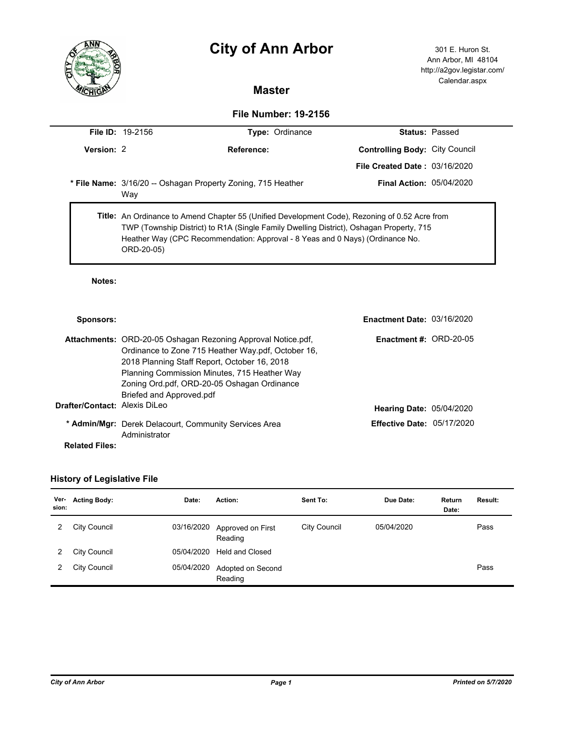# **City of Ann Arbor** 301 E. Huron St.



Ann Arbor, MI 48104 http://a2gov.legistar.com/ Calendar.aspx

# **Master**

### **File Number: 19-2156**

|            | <b>File ID:</b> $19-2156$<br><b>Type: Ordinance</b>                                                                                                                                                                                                                                             |                                                              |                                       | <b>Status: Passed</b> |
|------------|-------------------------------------------------------------------------------------------------------------------------------------------------------------------------------------------------------------------------------------------------------------------------------------------------|--------------------------------------------------------------|---------------------------------------|-----------------------|
| Version: 2 | Reference:                                                                                                                                                                                                                                                                                      |                                                              | <b>Controlling Body: City Council</b> |                       |
|            |                                                                                                                                                                                                                                                                                                 |                                                              | <b>File Created Date: 03/16/2020</b>  |                       |
|            | Way                                                                                                                                                                                                                                                                                             | * File Name: 3/16/20 -- Oshagan Property Zoning, 715 Heather | <b>Final Action: 05/04/2020</b>       |                       |
|            | <b>Title:</b> An Ordinance to Amend Chapter 55 (Unified Development Code), Rezoning of 0.52 Acre from<br>TWP (Township District) to R1A (Single Family Dwelling District), Oshagan Property, 715<br>Heather Way (CPC Recommendation: Approval - 8 Yeas and 0 Nays) (Ordinance No.<br>ORD-20-05) |                                                              |                                       |                       |

### **Notes:**

| Sponsors:                            |                                                                                                                           | <b>Enactment Date: 03/16/2020</b> |  |
|--------------------------------------|---------------------------------------------------------------------------------------------------------------------------|-----------------------------------|--|
|                                      | <b>Attachments: ORD-20-05 Oshagan Rezoning Approval Notice.pdf.</b><br>Ordinance to Zone 715 Heather Way.pdf, October 16, | Enactment #: $ORD-20-05$          |  |
|                                      | 2018 Planning Staff Report, October 16, 2018                                                                              |                                   |  |
|                                      | Planning Commission Minutes, 715 Heather Way                                                                              |                                   |  |
|                                      | Zoning Ord.pdf, ORD-20-05 Oshagan Ordinance                                                                               |                                   |  |
|                                      | Briefed and Approved.pdf                                                                                                  |                                   |  |
| <b>Drafter/Contact: Alexis DiLeo</b> |                                                                                                                           | <b>Hearing Date: 05/04/2020</b>   |  |
|                                      | * Admin/Mgr: Derek Delacourt, Community Services Area                                                                     | Effective Date: $05/17/2020$      |  |
|                                      | Administrator                                                                                                             |                                   |  |
| <b>Related Files:</b>                |                                                                                                                           |                                   |  |

# **History of Legislative File**

| Ver-<br>sion: | <b>Acting Body:</b> | Date:      | Action:                      | Sent To:     | Due Date:  | Return<br>Date: | <b>Result:</b> |
|---------------|---------------------|------------|------------------------------|--------------|------------|-----------------|----------------|
|               | City Council        | 03/16/2020 | Approved on First<br>Reading | City Council | 05/04/2020 |                 | Pass           |
|               | <b>City Council</b> | 05/04/2020 | <b>Held and Closed</b>       |              |            |                 |                |
|               | City Council        | 05/04/2020 | Adopted on Second<br>Reading |              |            |                 | Pass           |